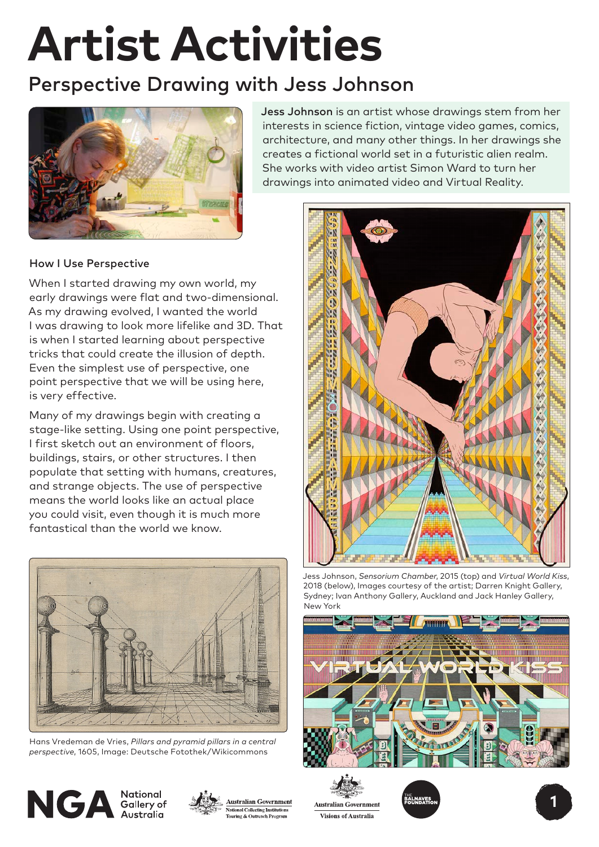# **Artist Activities**

# Perspective Drawing with Jess Johnson



Jess Johnson is an artist whose drawings stem from her interests in science fiction, vintage video games, comics, architecture, and many other things. In her drawings she creates a fictional world set in a futuristic alien realm. She works with video artist Simon Ward to turn her drawings into animated video and Virtual Reality.

# How I Use Perspective

When I started drawing my own world, my early drawings were flat and two-dimensional. As my drawing evolved, I wanted the world I was drawing to look more lifelike and 3D. That is when I started learning about perspective tricks that could create the illusion of depth. Even the simplest use of perspective, one point perspective that we will be using here, is very effective.

Many of my drawings begin with creating a stage-like setting. Using one point perspective, I first sketch out an environment of floors, buildings, stairs, or other structures. I then populate that setting with humans, creatures, and strange objects. The use of perspective means the world looks like an actual place you could visit, even though it is much more fantastical than the world we know.



Hans Vredeman de Vries, *Pillars and pyramid pillars in a central perspective*, 1605, Image: Deutsche Fotothek/Wikicommons

 $NGA_{\tiny\mbox{Australia}}^{\tiny\mbox{National  
Galley of}}$ 







Jess Johnson, *Sensorium Chamber*, 2015 (top) and *Virtual World Kiss*, 2018 (below), Images courtesy of the artist; Darren Knight Gallery, Sydney; Ivan Anthony Gallery, Auckland and Jack Hanley Gallery, New York



**Australian Government Visions of Australia**